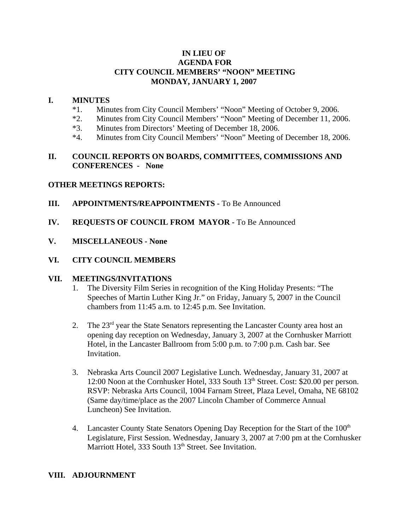# **IN LIEU OF AGENDA FOR CITY COUNCIL MEMBERS' "NOON" MEETING MONDAY, JANUARY 1, 2007**

#### **I. MINUTES**

- \*1. Minutes from City Council Members' "Noon" Meeting of October 9, 2006.
- \*2. Minutes from City Council Members' "Noon" Meeting of December 11, 2006.
- \*3. Minutes from Directors' Meeting of December 18, 2006.
- \*4. Minutes from City Council Members' "Noon" Meeting of December 18, 2006.

# **II. COUNCIL REPORTS ON BOARDS, COMMITTEES, COMMISSIONS AND CONFERENCES - None**

### **OTHER MEETINGS REPORTS:**

- **III.** APPOINTMENTS/REAPPOINTMENTS To Be Announced
- **IV. REQUESTS OF COUNCIL FROM MAYOR -** To Be Announced
- **V. MISCELLANEOUS None**

### **VI. CITY COUNCIL MEMBERS**

#### **VII. MEETINGS/INVITATIONS**

- 1. The Diversity Film Series in recognition of the King Holiday Presents: "The Speeches of Martin Luther King Jr." on Friday, January 5, 2007 in the Council chambers from 11:45 a.m. to 12:45 p.m. See Invitation.
- 2. The  $23<sup>rd</sup>$  year the State Senators representing the Lancaster County area host an opening day reception on Wednesday, January 3, 2007 at the Cornhusker Marriott Hotel, in the Lancaster Ballroom from 5:00 p.m. to 7:00 p.m. Cash bar. See Invitation.
- 3. Nebraska Arts Council 2007 Legislative Lunch. Wednesday, January 31, 2007 at 12:00 Noon at the Cornhusker Hotel, 333 South 13<sup>th</sup> Street. Cost: \$20.00 per person. RSVP: Nebraska Arts Council, 1004 Farnam Street, Plaza Level, Omaha, NE 68102 (Same day/time/place as the 2007 Lincoln Chamber of Commerce Annual Luncheon) See Invitation.
- 4. Lancaster County State Senators Opening Day Reception for the Start of the 100<sup>th</sup> Legislature, First Session. Wednesday, January 3, 2007 at 7:00 pm at the Cornhusker Marriott Hotel, 333 South 13<sup>th</sup> Street. See Invitation.

# **VIII. ADJOURNMENT**